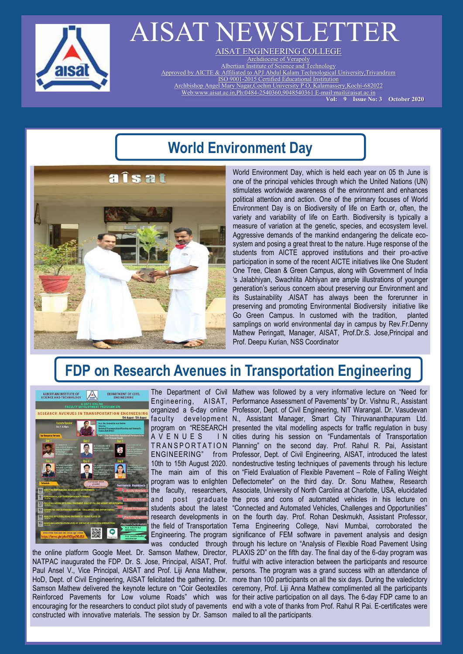

# AISAT NEWSLETTER

AISAT ENGINEERING COLLEGE Archdiocese of Verapoly Albertian Institute of Science and Technology Approved by AICTE & Affiliated to APJ Abdul Kalam Technological University,Trivandrum ISO 9001-2015 Certified Educational Institution Archbishop Angel Mary Nagar,Cochin University P O, Kalamassery,Kochi-682022 Web:www.aisat.ac.in,Ph:0484-2540360,9048540361 E-mail:mail@aisat.ac.in

 **Vol: 9 Issue No: 3 October 2020** 

## **World Environment Day**

**îsat** 

World Environment Day, which is held each year on 05 th June is one of the principal vehicles through which the United Nations (UN) stimulates worldwide awareness of the environment and enhances political attention and action. One of the primary focuses of World Environment Day is on Biodiversity of life on Earth or, often, the variety and variability of life on Earth. Biodiversity is typically a measure of variation at the genetic, species, and ecosystem level. Aggressive demands of the mankind endangering the delicate ecosystem and posing a great threat to the nature. Huge response of the students from AICTE approved institutions and their pro-active participation in some of the recent AICTE initiatives like One Student One Tree, Clean & Green Campus, along with Government of India 's Jalabhiyan, Swachlita Abhiyan are ample illustrations of younger generation's serious concern about preserving our Environment and its Sustainability .AISAT has always been the forerunner in preserving and promoting Environmental Biodiversity initiative like Go Green Campus. In customed with the tradition, planted samplings on world environmental day in campus by Rev.Fr.Denny Mathew Peringatt, Manager, AISAT, Prof.Dr.S. Jose,Principal and Prof. Deepu Kurian, NSS Coordinator

# **FDP on Research Avenues in Transportation Engineering**



**AVENUES** 

constructed with innovative materials. The session by Dr. Samson mailed to all the participants.

The Department of Civil Mathew was followed by a very informative lecture on "Need for Engineering, AISAT, Performance Assessment of Pavements" by Dr. Vishnu R., Assistant organized a 6-day online Professor, Dept. of Civil Engineering, NIT Warangal. Dr. Vasudevan faculty development N., Assistant Manager, Smart City Thiruvananthapuram Ltd. program on "RESEARCH presented the vital modelling aspects for traffic regulation in busy TRANSPORTATION Planning" on the second day. Prof. Rahul R. Pai, Assistant ENGINEERING" from Professor, Dept. of Civil Engineering, AISAT, introduced the latest 10th to 15th August 2020. nondestructive testing techniques of pavements through his lecture The main aim of this on "Field Evaluation of Flexible Pavement – Role of Falling Weight program was to enlighten Deflectometer" on the third day. Dr. Sonu Mathew, Research the faculty, researchers, Associate, University of North Carolina at Charlotte, USA, elucidated and post graduate the pros and cons of automated vehicles in his lecture on students about the latest "Connected and Automated Vehicles, Challenges and Opportunities" research developments in on the fourth day. Prof. Rohan Deskmukh, Assistant Professor, the field of Transportation Terna Engineering College, Navi Mumbai, corroborated the Engineering. The program significance of FEM software in pavement analysis and design was conducted through through his lecture on "Analysis of Flexible Road Pavement Using the online platform Google Meet. Dr. Samson Mathew, Director, PLAXIS 2D" on the fifth day. The final day of the 6-day program was NATPAC inaugurated the FDP. Dr. S. Jose, Principal, AISAT, Prof. fruitful with active interaction between the participants and resource Paul Ansel V., Vice Principal, AISAT and Prof. Liji Anna Mathew, persons. The program was a grand success with an attendance of HoD, Dept. of Civil Engineering, AISAT felicitated the gathering. Dr. more than 100 participants on all the six days. During the valedictory Samson Mathew delivered the keynote lecture on "Coir Geotextiles ceremony, Prof. Liji Anna Mathew complimented all the participants Reinforced Pavements for Low volume Roads" which was for their active participation on all days. The 6-day FDP came to an encouraging for the researchers to conduct pilot study of pavements end with a vote of thanks from Prof. Rahul R Pai. E-certificates were I N cities during his session on "Fundamentals of Transportation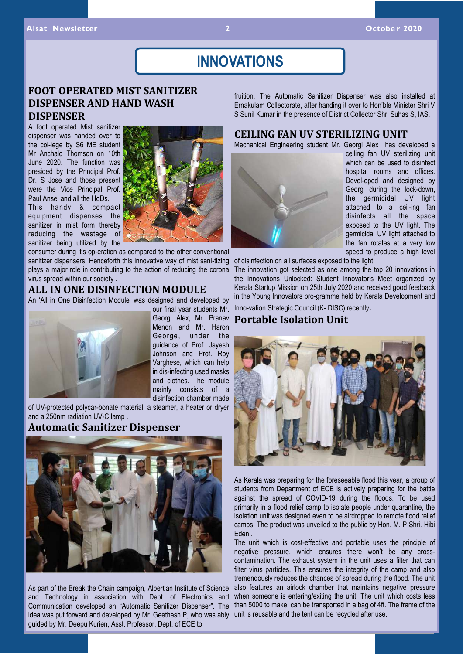### **INNOVATIONS**

### **FOOT OPERATED MIST SANITIZER DISPENSER AND HAND WASH DISPENSER**

A foot operated Mist sanitizer dispenser was handed over to the col-lege by S6 ME student Mr Anchalo Thomson on 10th June 2020. The function was presided by the Principal Prof. Dr. S Jose and those present were the Vice Principal Prof. Paul Ansel and all the HoDs.

This handy & compact equipment dispenses the sanitizer in mist form thereby reducing the wastage of sanitizer being utilized by the



consumer during it's op-eration as compared to the other conventional sanitizer dispensers. Henceforth this innovative way of mist sani-tizing plays a major role in contributing to the action of reducing the corona virus spread within our society .

### **ALL IN ONE DISINFECTION MODULE**

An 'All in One Disinfection Module' was designed and developed by



our final year students Mr. Georgi Alex, Mr. Pranav Menon and Mr. Haron George, under the guidance of Prof. Jayesh Johnson and Prof. Roy Varghese, which can help in dis-infecting used masks and clothes. The module mainly consists of a disinfection chamber made

of UV-protected polycar-bonate material, a steamer, a heater or dryer and a 250nm radiation UV-C lamp .

#### **Automatic Sanitizer Dispenser**



As part of the Break the Chain campaign, Albertian Institute of Science and Technology in association with Dept. of Electronics and Communication developed an "Automatic Sanitizer Dispenser". The idea was put forward and developed by Mr. Geethesh P, who was ably unit is reusable and the tent can be recycled after use. guided by Mr. Deepu Kurien, Asst. Professor, Dept. of ECE to

fruition. The Automatic Sanitizer Dispenser was also installed at Ernakulam Collectorate, after handing it over to Hon'ble Minister Shri V S Sunil Kumar in the presence of District Collector Shri Suhas S, IAS.

#### **CEILING FAN UV STERILIZING UNIT**

Mechanical Engineering student Mr. Georgi Alex has developed a



ceiling fan UV sterilizing unit which can be used to disinfect hospital rooms and offices. Devel-oped and designed by Georgi during the lock-down, the germicidal UV light attached to a ceil-ing fan disinfects all the space exposed to the UV light. The germicidal UV light attached to the fan rotates at a very low speed to produce a high level

of disinfection on all surfaces exposed to the light.

The innovation got selected as one among the top 20 innovations in the Innovations Unlocked: Student Innovator's Meet organized by Kerala Startup Mission on 25th July 2020 and received good feedback in the Young Innovators pro-gramme held by Kerala Development and Inno-vation Strategic Council (K- DISC) recently.

### **Portable Isolation Unit**



As Kerala was preparing for the foreseeable flood this year, a group of students from Department of ECE is actively preparing for the battle against the spread of COVID-19 during the floods. To be used primarily in a flood relief camp to isolate people under quarantine, the isolation unit was designed even to be airdropped to remote flood relief camps. The product was unveiled to the public by Hon. M. P Shri. Hibi Eden .

The unit which is cost-effective and portable uses the principle of negative pressure, which ensures there won't be any crosscontamination. The exhaust system in the unit uses a filter that can filter virus particles. This ensures the integrity of the camp and also tremendously reduces the chances of spread during the flood. The unit also features an airlock chamber that maintains negative pressure when someone is entering/exiting the unit. The unit which costs less than 5000 to make, can be transported in a bag of 4ft. The frame of the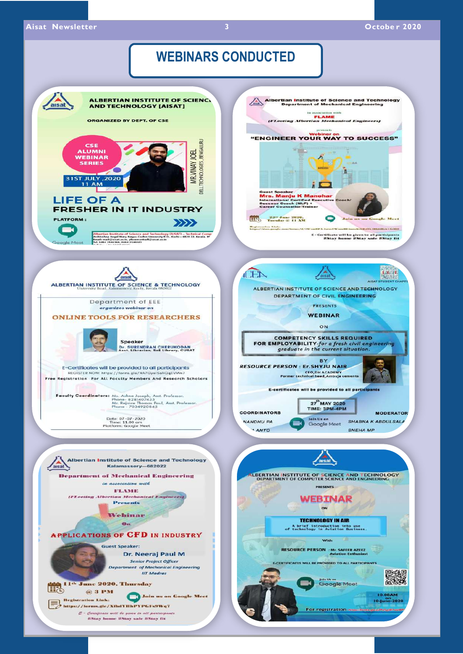### **WEBINARS CONDUCTED**

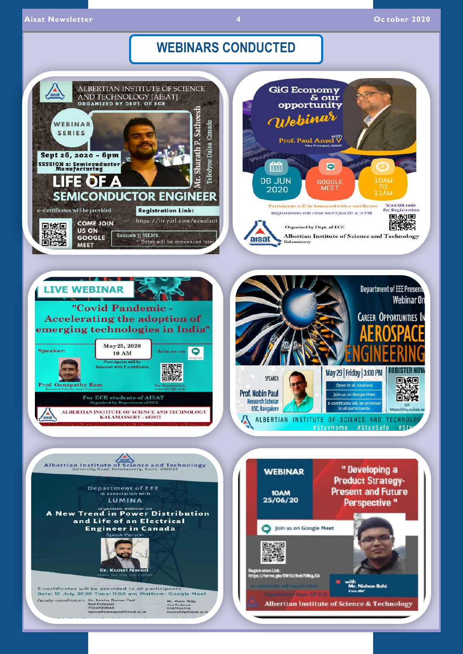### **WEBINARS CONDUCTED**

 $\overline{A}$ 

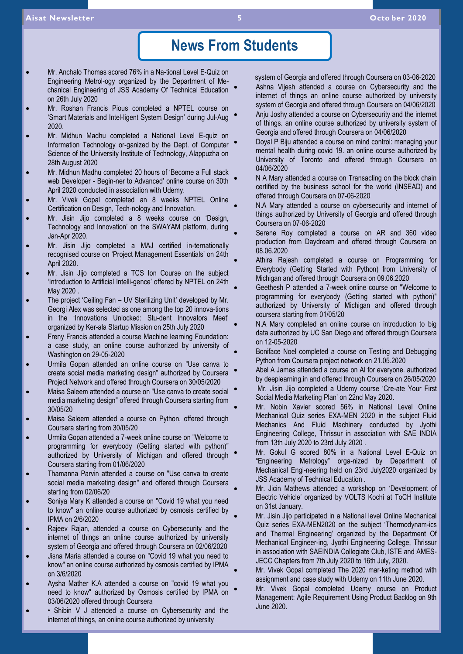### **News From Students**

- Mr. Anchalo Thomas scored 76% in a Na-tional Level E-Quiz on Engineering Metrol-ogy organized by the Department of Mechanical Engineering of JSS Academy Of Technical Education on 26th July 2020
- Mr. Roshan Francis Pious completed a NPTEL course on 'Smart Materials and Intel-ligent System Design' during Jul-Aug 2020.
- Mr. Midhun Madhu completed a National Level E-quiz on Information Technology or-ganized by the Dept. of Computer Science of the University Institute of Technology, Alappuzha on 28th August 2020
- Mr. Midhun Madhu completed 20 hours of 'Become a Full stack web Developer - Begin-ner to Advanced' online course on 30th April 2020 conducted in association with Udemy.
- Mr. Vivek Gopal completed an 8 weeks NPTEL Online Certification on Design, Tech-nology and Innovation.
- Mr. Jisin Jijo completed a 8 weeks course on 'Design, Technology and Innovation' on the SWAYAM platform, during Jan-Apr 2020.
- Mr. Jisin Jijo completed a MAJ certified in-ternationally recognised course on 'Project Management Essentials' on 24th April 2020.
- Mr. Jisin Jijo completed a TCS Ion Course on the subject 'Introduction to Artificial Intelli-gence' offered by NPTEL on 24th May 2020 .
- The project 'Ceiling Fan UV Sterilizing Unit' developed by Mr. Georgi Alex was selected as one among the top 20 innova-tions in the 'Innovations Unlocked: Stu-dent Innovators Meet' organized by Ker-ala Startup Mission on 25th July 2020
- Freny Francis attended a course Machine learning Foundation: a case study, an online course authorized by university of Washington on 29-05-2020
- Urmila Gopan attended an online course on "Use canva to create social media marketing design" authorized by Coursera Project Network and offered through Coursera on 30/05/2020
- Maisa Saleem attended a course on "Use canva to create social media marketing design" offered through Coursera starting from 30/05/20
- Maisa Saleem attended a course on Python, offered through Coursera starting from 30/05/20
- Urmila Gopan attended a 7-week online course on "Welcome to programming for everybody (Getting started with python)" authorized by University of Michigan and offered through Coursera starting from 01/06/2020
- Thamanna Parvin attended a course on "Use canva to create social media marketing design" and offered through Coursera starting from 02/06/20
- Soniya Mary K attended a course on "Covid 19 what you need to know" an online course authorized by osmosis certified by IPMA on 2/6/2020
- Rajeev Rajan, attended a course on Cybersecurity and the internet of things an online course authorized by university system of Georgia and offered through Coursera on 02/06/2020
- Jisna Maria attended a course on "Covid 19 what you need to know" an online course authorized by osmosis certified by IPMA on 3/6/2020
- Aysha Mather K.A attended a course on "covid 19 what you need to know" authorized by Osmosis certified by IPMA on 03/06/2020 offered through Coursera
- Shibin V J attended a course on Cybersecurity and the internet of things, an online course authorized by university

 system of Georgia and offered through Coursera on 03-06-2020 Ashna Vijesh attended a course on Cybersecurity and the internet of things an online course authorized by university system of Georgia and offered through Coursera on 04/06/2020 Anju Joshy attended a course on Cybersecurity and the internet of things. an online course authorized by university system of Georgia and offered through Coursera on 04/06/2020

- Doyal P Biju attended a course on mind control: managing your mental health during covid 19. an online course authorized by University of Toronto and offered through Coursera on 04/06/2020
- N A Mary attended a course on Transacting on the block chain certified by the business school for the world (INSEAD) and offered through Coursera on 07-06-2020
- N.A Mary attended a course on cybersecurity and internet of things authorized by University of Georgia and offered through Coursera on 07-06-2020
- Serene Roy completed a course on AR and 360 video production from Daydream and offered through Coursera on 08.06.2020
- Athira Rajesh completed a course on Programming for Everybody (Getting Started with Python) from University of Michigan and offered through Coursera on 09.06.2020
- Geethesh P attended a 7-week online course on "Welcome to programming for everybody (Getting started with python)" authorized by University of Michigan and offered through coursera starting from 01/05/20
- N.A Mary completed an online course on introduction to big data authorized by UC San Diego and offered through Coursera on 12-05-2020
- Boniface Noel completed a course on Testing and Debugging Python from Coursera project network on 21.05.2020
- Abel A James attended a course on AI for everyone. authorized by deeplearning.in and offered through Coursera on 26/05/2020
- Mr. Jisin Jijo completed a Udemy course 'Cre-ate Your First Social Media Marketing Plan' on 22nd May 2020.
- Mr. Nobin Xavier scored 56% in National Level Online Mechanical Quiz series EXA-MEN 2020 in the subject Fluid Mechanics And Fluid Machinery conducted by Jyothi Engineering College, Thrissur in association with SAE INDIA from 13th July 2020 to 23rd July 2020 .
- Mr. Gokul G scored 80% in a National Level E-Quiz on "Engineering Metrology" orga-nized by Department of Mechanical Engi-neering held on 23rd July2020 organized by JSS Academy of Technical Education .
- Mr. Jicin Mathews attended a workshop on 'Development of Electric Vehicle' organized by VOLTS Kochi at ToCH Institute on 31st January.
- Mr. Jisin Jijo participated in a National level Online Mechanical Quiz series EXA-MEN2020 on the subject 'Thermodynam-ics and Thermal Engineering' organized by the Department Of Mechanical Engineer-ing, Jyothi Engineering College, Thrissur in association with SAEINDIA Collegiate Club, ISTE and AMES-JECC Chapters from 7th July 2020 to 16th July, 2020.
- Mr. Vivek Gopal completed The 2020 mar-keting method with assignment and case study with Udemy on 11th June 2020.
- Mr. Vivek Gopal completed Udemy course on Product Management: Agile Requirement Using Product Backlog on 9th June 2020.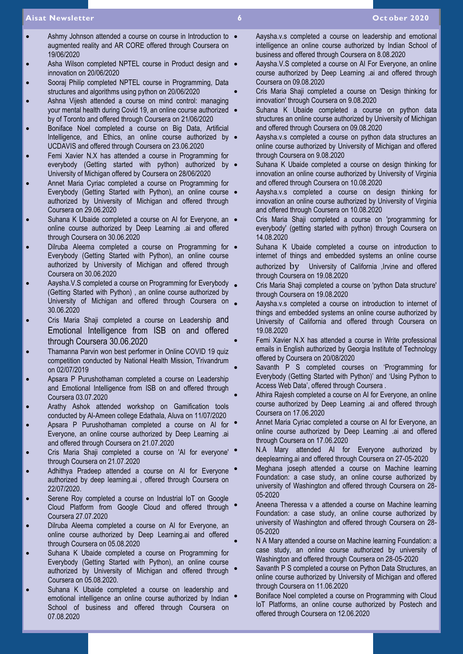#### **Aisat Newsletter 6 Oct ober 2020**

- Ashmy Johnson attended a course on course in Introduction to  $\bullet$ augmented reality and AR CORE offered through Coursera on 19/06/2020
- Asha Wilson completed NPTEL course in Product design and  $\bullet$ innovation on 20/06/2020
- Sooraj Philip completed NPTEL course in Programming, Data structures and algorithms using python on 20/06/2020
- Ashna Vijesh attended a course on mind control: managing your mental health during Covid 19, an online course authorized . by of Toronto and offered through Coursera on 21/06/2020
- Boniface Noel completed a course on Big Data, Artificial Intelligence, and Ethics, an online course authorized by UCDAVIS and offered through Coursera on 23.06.2020
- Femi Xavier N.X has attended a course in Programming for everybody (Getting started with python) authorized by  $\bullet$ University of Michigan offered by Coursera on 28/06/2020
- Annet Maria Cyriac completed a course on Programming for Everybody (Getting Started with Python), an online course . authorized by University of Michigan and offered through Coursera on 29.06.2020
- Suhana K Ubaide completed a course on AI for Everyone, an  $\bullet$ online course authorized by Deep Learning .ai and offered through Coursera on 30.06.2020
- Dilruba Aleema completed a course on Programming for  $\bullet$ Everybody (Getting Started with Python), an online course authorized by University of Michigan and offered through Coursera on 30.06.2020
- Aaysha.V.S completed a course on Programming for Everybody (Getting Started with Python) , an online course authorized by University of Michigan and offered through Coursera on 30.06.2020
- Cris Maria Shaji completed a course on Leadership and Emotional Intelligence from ISB on and offered through Coursera 30.06.2020
- Thamanna Parvin won best performer in Online COVID 19 quiz competition conducted by National Health Mission, Trivandrum on 02/07/2019
- Apsara P Purushothaman completed a course on Leadership and Emotional Intelligence from ISB on and offered through Coursera 03.07.2020
- Arathy Ashok attended workshop on Gamification tools conducted by Al-Ameen college Edathala, Aluva on 11/07/2020
- Apsara P Purushothaman completed a course on AI for Everyone, an online course authorized by Deep Learning .ai and offered through Coursera on 21.07.2020
- Cris Maria Shaji completed a course on 'AI for everyone' through Coursera on 21.07.2020
- Adhithya Pradeep attended a course on AI for Everyone authorized by deep learning.ai , offered through Coursera on 22/07/2020.
- Serene Roy completed a course on Industrial IoT on Google Cloud Platform from Google Cloud and offered through Coursera 27.07.2020
- Dilruba Aleema completed a course on AI for Everyone, an online course authorized by Deep Learning.ai and offered through Coursera on 05.08.2020
- Suhana K Ubaide completed a course on Programming for Everybody (Getting Started with Python), an online course authorized by University of Michigan and offered through Coursera on 05.08.2020.
- Suhana K Ubaide completed a course on leadership and emotional intelligence an online course authorized by Indian School of business and offered through Coursera on 07.08.2020
- Aaysha.v.s completed a course on leadership and emotional intelligence an online course authorized by Indian School of business and offered through Coursera on 8.08.2020
- Aaysha.V.S completed a course on AI For Everyone, an online course authorized by Deep Learning .ai and offered through Coursera on 09.08.2020
- Cris Maria Shaii completed a course on 'Design thinking for innovation' through Coursera on 9.08.2020
- Suhana K Ubaide completed a course on python data structures an online course authorized by University of Michigan and offered through Coursera on 09.08.2020
- Aaysha.v.s completed a course on python data structures an online course authorized by University of Michigan and offered through Coursera on 9.08.2020
- Suhana K Ubaide completed a course on design thinking for innovation an online course authorized by University of Virginia and offered through Coursera on 10.08.2020
- Aaysha.v.s completed a course on design thinking for innovation an online course authorized by University of Virginia and offered through Coursera on 10.08.2020
- Cris Maria Shaji completed a course on 'programming for everybody' (getting started with python) through Coursera on 14.08.2020
- Suhana K Ubaide completed a course on introduction to internet of things and embedded systems an online course authorized by University of California ,Irvine and offered through Coursera on 19.08.2020
- Cris Maria Shaji completed a course on 'python Data structure' through Coursera on 19.08.2020
- Aaysha.v.s completed a course on introduction to internet of things and embedded systems an online course authorized by University of California and offered through Coursera on 19.08.2020
- Femi Xavier N.X has attended a course in Write professional emails in English authorized by Georgia Institute of Technology offered by Coursera on 20/08/2020
- Savanth P S completed courses on 'Programming for Everybody (Getting Started with Python)' and 'Using Python to Access Web Data', offered through Coursera .
- Athira Rajesh completed a course on AI for Everyone, an online course authorized by Deep Learning .ai and offered through Coursera on 17.06.2020
- Annet Maria Cyriac completed a course on AI for Everyone, an online course authorized by Deep Learning .ai and offered through Coursera on 17.06.2020
- N.A Mary attended AI for Everyone authorized by deeplearning.ai and offered through Coursera on 27-05-2020
- Meghana joseph attended a course on Machine learning Foundation: a case study, an online course authorized by university of Washington and offered through Coursera on 28- 05-2020
- Aneena Theressa v a attended a course on Machine learning Foundation: a case study, an online course authorized by university of Washington and offered through Coursera on 28- 05-2020
- N A Mary attended a course on Machine learning Foundation: a case study, an online course authorized by university of Washington and offered through Coursera on 28-05-2020
- Savanth P S completed a course on Python Data Structures, an online course authorized by University of Michigan and offered through Coursera on 11.06.2020
- Boniface Noel completed a course on Programming with Cloud IoT Platforms, an online course authorized by Postech and offered through Coursera on 12.06.2020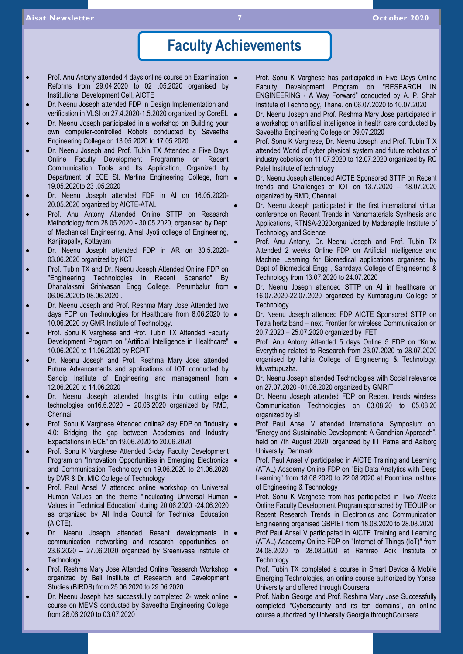### **Faculty Achievements**

- Prof. Anu Antony attended 4 days online course on Examination . Reforms from 29.04.2020 to 02 .05.2020 organised by Institutional Development Cell, AICTE
- Dr. Neenu Joseph attended FDP in Design Implementation and verification in VLSI on 27.4.2020-1.5.2020 organized by CoreEL .
- Dr. Neenu Joseph participated in a workshop on Building your own computer-controlled Robots conducted by Saveetha Engineering College on 13.05.2020 to 17.05.2020
- Dr. Neenu Joseph and Prof. Tubin TX Attended a Five Days Online Faculty Development Programme on Recent Communication Tools and Its Application, Organized by Department of ECE St. Martins Engineering College, from . 19.05.2020to 23 .05.2020
- Dr. Neenu Joseph attended FDP in AI on 16.05.2020- 20.05.2020 organized by AICTE-ATAL
- Prof. Anu Antony Attended Online STTP on Research Methodology from 28.05.2020 - 30.05.2020, organised by Dept. of Mechanical Engineering, Amal Jyoti college of Engineering, Kanjirapally, Kottayam
- Dr. Neenu Joseph attended FDP in AR on 30.5.2020- 03.06.2020 organized by KCT
- Prof. Tubin TX and Dr. Neenu Joseph Attended Online FDP on "Engineering Technologies in Recent Scenario" By Dhanalaksmi Srinivasan Engg College, Perumbalur from · 06.06.2020to 08.06.2020 .
- Dr. Neenu Joseph and Prof. Reshma Mary Jose Attended two days FDP on Technologies for Healthcare from 8.06.2020 to  $\bullet$ 10.06.2020 by GMR Institute of Technology.
- Prof. Sonu K Varghese and Prof. Tubin TX Attended Faculty Development Program on "Artificial Intelligence in Healthcare" 10.06.2020 to 11.06.2020 by RCPIT
- Dr. Neenu Joseph and Prof. Reshma Mary Jose attended Future Advancements and applications of IOT conducted by Sandip Institute of Engineering and management from  $\bullet$ 12.06.2020 to 14.06.2020
- Dr. Neenu Joseph attended Insights into cutting edge . technologies  $on16.6.2020 - 20.06.2020$  organized by RMD, Chennai
- Prof. Sonu K Varghese Attended online2 day FDP on "Industry . 4.0: Bridging the gap between Academics and Industry Expectations in ECE" on 19.06.2020 to 20.06.2020
- Prof. Sonu K Varghese Attended 3-day Faculty Development Program on "Innovation Opportunities in Emerging Electronics and Communication Technology on 19.06.2020 to 21.06.2020 by DVR & Dr. MIC College of Technology
- Prof. Paul Ansel V attended online workshop on Universal Human Values on the theme "Inculcating Universal Human Values in Technical Education" during 20.06.2020 -24.06.2020 as organized by All India Council for Technical Education (AICTE).
- Dr. Neenu Joseph attended Resent developments in  $\bullet$ communication networking and research opportunities on 23.6.2020 – 27.06.2020 organized by Sreenivasa institute of **Technology**
- Prof. Reshma Mary Jose Attended Online Research Workshop . organized by Bell Institute of Research and Development Studies (BIRDS) from 25.06.2020 to 29.06.2020
- Dr. Neenu Joseph has successfully completed 2- week online . course on MEMS conducted by Saveetha Engineering College from 26.06.2020 to 03.07.2020
- Prof. Sonu K Varghese has participated in Five Days Online Faculty Development Program on "RESEARCH IN ENGINEERING - A Way Forward" conducted by A. P. Shah Institute of Technology, Thane. on 06.07.2020 to 10.07.2020
- Dr. Neenu Joseph and Prof. Reshma Mary Jose participated in a workshop on artificial intelligence in health care conducted by Saveetha Engineering College on 09.07.2020
- Prof. Sonu K Varghese, Dr. Neenu Joseph and Prof. Tubin T X attended World of cyber physical system and future robotics of industry cobotics on 11.07.2020 to 12.07.2020 organized by RC Patel Institute of technology
- Dr. Neenu Joseph attended AICTE Sponsored STTP on Recent trends and Challenges of IOT on 13.7.2020 – 18.07.2020 organized by RMD, Chennai
- Dr. Neenu Joseph participated in the first international virtual conference on Recent Trends in Nanomaterials Synthesis and Applications, RTNSA-2020organized by Madanaplle Institute of Technology and Science
- Prof. Anu Antony, Dr. Neenu Joseph and Prof. Tubin TX Attended 2 weeks Online FDP on Artificial Intelligence and Machine Learning for Biomedical applications organised by Dept of Biomedical Engg , Sahrdaya College of Engineering & Technology from 13.07.2020 to 24.07.2020
- Dr. Neenu Joseph attended STTP on AI in healthcare on 16.07.2020-22.07.2020 organized by Kumaraguru College of **Technology**
- Dr. Neenu Joseph attended FDP AICTE Sponsored STTP on Tetra hertz band – next Frontier for wireless Communication on 20.7.2020 – 25.07.2020 organized by IFET
- Prof. Anu Antony Attended 5 days Online 5 FDP on "Know Everything related to Research from 23.07.2020 to 28.07.2020 organised by Ilahia College of Engineering & Technology, Muvattupuzha.
- Dr. Neenu Joseph attended Technologies with Social relevance on 27.07.2020 -01.08.2020 organized by GMRIT
- Dr. Neenu Joseph attended FDP on Recent trends wireless Communication Technologies on 03.08.20 to 05.08.20 organized by BIT
- Prof Paul Ansel V attended International Symposium on, "Energy and Sustainable Development: A Gandhian Approach", held on 7th August 2020, organized by IIT Patna and Aalborg University, Denmark.
- Prof. Paul Ansel V participated in AICTE Training and Learning (ATAL) Academy Online FDP on "Big Data Analytics with Deep Learning" from 18.08.2020 to 22.08.2020 at Poornima Institute of Engineering & Technology
- Prof. Sonu K Varghese from has participated in Two Weeks Online Faculty Development Program sponsored by TEQUIP on Recent Research Trends in Electronics and Communication Engineering organised GBPIET from 18.08.2020 to 28.08.2020
- Prof Paul Ansel V participated in AICTE Training and Learning (ATAL) Academy Online FDP on "Internet of Things (IoT)" from 24.08.2020 to 28.08.2020 at Ramrao Adik Institute of Technology.
- Prof. Tubin TX completed a course in Smart Device & Mobile Emerging Technologies, an online course authorized by Yonsei University and offered through Coursera.
- Prof. Naibin George and Prof. Reshma Mary Jose Successfully completed "Cybersecurity and its ten domains", an online course authorized by University Georgia throughCoursera.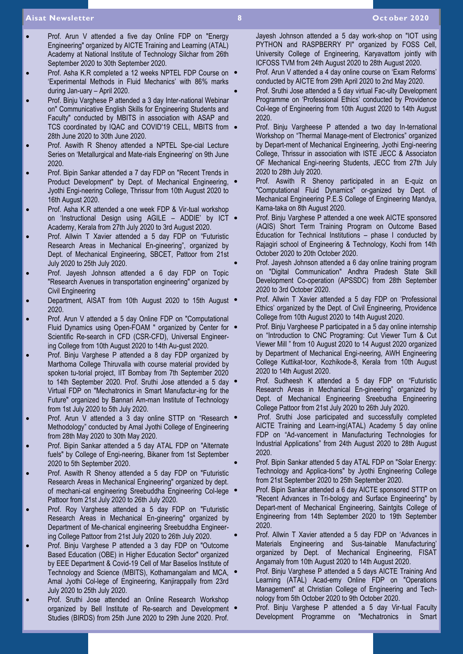#### **Aisat Newsletter 8 Oct ober 2020**

- Prof. Arun V attended a five day Online FDP on "Energy Engineering" organized by AICTE Training and Learning (ATAL) Academy at National Institute of Technology Silchar from 26th September 2020 to 30th September 2020.
- Prof. Asha K.R completed a 12 weeks NPTEL FDP Course on 'Experimental Methods in Fluid Mechanics' with 86% marks during Jan-uary – April 2020.
- Prof. Binju Varghese P attended a 3 day Inter-national Webinar on" Communicative English Skills for Engineering Students and Faculty" conducted by MBITS in association with ASAP and TCS coordinated by IQAC and COVID'19 CELL, MBITS from  $\bullet$ 28th June 2020 to 30th June 2020.
- Prof. Aswith R Shenoy attended a NPTEL Spe-cial Lecture Series on 'Metallurgical and Mate-rials Engineering' on 9th June 2020.
- Prof. Bipin Sankar attended a 7 day FDP on "Recent Trends in Product Development" by Dept. of Mechanical Engineering, Jyothi Engi-neering College, Thrissur from 10th August 2020 to 16th August 2020.
- Prof. Asha K.R attended a one week FDP & Vir-tual workshop on 'Instructional Design using AGILE – ADDIE' by ICT Academy, Kerala from 27th July 2020 to 3rd August 2020.
- Prof. Allwin T Xavier attended a 5 day FDP on "Futuristic Research Areas in Mechanical En-gineering", organized by Dept. of Mechanical Engineering, SBCET, Pattoor from 21st July 2020 to 25th July 2020.
- Prof. Jayesh Johnson attended a 6 day FDP on Topic "Research Avenues in transportation engineering" organized by Civil Engineering
- Department, AISAT from 10th August 2020 to 15th August . 2020.
- Prof. Arun V attended a 5 day Online FDP on "Computational Fluid Dynamics using Open-FOAM " organized by Center for  $\bullet$ Scientific Re-search in CFD (CSR-CFD), Universal Engineering College from 10th August 2020 to 14th Au-gust 2020.
- Prof. Binju Varghese P attended a 8 day FDP organized by Marthoma College Thiruvalla with course material provided by spoken tu-torial project, IIT Bombay from 7th September 2020 to 14th September 2020. Prof. Sruthi Jose attended a 5 day Virtual FDP on "Mechatronics in Smart Manufactur-ing for the Future" organized by Bannari Am-man Institute of Technology from 1st July 2020 to 5th July 2020.
- Prof. Arun V attended a 3 day online STTP on "Research Methodology" conducted by Amal Jyothi College of Engineering from 28th May 2020 to 30th May 2020.
- Prof. Bipin Sankar attended a 5 day ATAL FDP on "Alternate fuels" by College of Engi-neering, Bikaner from 1st September 2020 to 5th September 2020.
- Prof. Aswith R Shenoy attended a 5 day FDP on "Futuristic Research Areas in Mechanical Engineering" organized by dept. of mechani-cal engineering Sreebuddha Engineering Col-lege Pattoor from 21st July 2020 to 26th July 2020.
- Prof. Roy Varghese attended a 5 day FDP on "Futuristic Research Areas in Mechanical En-gineering" organized by Department of Me-chanical engineering Sreebuddha Engineering College Pattoor from 21st July 2020 to 26th July 2020.
- Prof. Binju Varghese P attended a 3 day FDP on "Outcome Based Education (OBE) in Higher Education Sector" organized by EEE Department & Covid-19 Cell of Mar Baselios Institute of Technology and Science (MBITS), Kothamangalam and MCA, Amal Jyothi Col-lege of Engineering, Kanjirappally from 23rd July 2020 to 25th July 2020.
- Prof. Sruthi Jose attended an Online Research Workshop organized by Bell Institute of Re-search and Development Studies (BIRDS) from 25th June 2020 to 29th June 2020. Prof.

Jayesh Johnson attended a 5 day work-shop on "IOT using PYTHON and RASPBERRY PI" organized by FOSS Cell, University College of Engineering, Karyavattom jointly with ICFOSS TVM from 24th August 2020 to 28th August 2020.

- Prof. Arun V attended a 4 day online course on 'Exam Reforms' conducted by AICTE from 29th April 2020 to 2nd May 2020.
- Prof. Sruthi Jose attended a 5 day virtual Fac-ulty Development Programme on 'Professional Ethics' conducted by Providence Col-lege of Engineering from 10th August 2020 to 14th August 2020.
- Prof. Binju Vargheese P attended a two day In-ternational Workshop on "Thermal Manage-ment of Electronics" organized by Depart-ment of Mechanical Engineering, Jyothi Engi-neering College, Thrissur in association with ISTE JECC & Associaton OF Mechanical Engi-neering Students, JECC from 27th July 2020 to 28th July 2020.
- Prof. Aswith R Shenoy participated in an E-quiz on "Computational Fluid Dynamics" or-ganized by Dept. of Mechanical Engineering P.E.S College of Engineering Mandya, Karna-taka on 8th August 2020.
- Prof. Binju Varghese P attended a one week AICTE sponsored (AQIS) Short Term Training Program on Outcome Based Education for Technical Institutions – phase I conducted by Rajagiri school of Engineering & Technology, Kochi from 14th October 2020 to 20th October 2020.
- Prof. Jayesh Johnson attended a 6 day online training program on "Digital Communication" Andhra Pradesh State Skill Development Co-operation (APSSDC) from 28th September 2020 to 3rd October 2020.
- Prof. Allwin T Xavier attended a 5 day FDP on 'Professional Ethics' organized by the Dept. of Civil Engineering, Providence College from 10th August 2020 to 14th August 2020.
- Prof. Binju Vargheese P participated in a 5 day online internship on "Introduction to CNC Programing: Cut Viewer Turn & Cut Viewer Mill " from 10 August 2020 to 14 August 2020 organized by Department of Mechanical Engi-neering, AWH Engineering College Kuttikat-toor, Kozhikode-8, Kerala from 10th August 2020 to 14th August 2020.
- Prof. Sudheesh K attended a 5 day FDP on "Futuristic Research Areas in Mechanical En-gineering" organized by Dept. of Mechanical Engineering Sreebudha Engineering College Pattoor from 21st July 2020 to 26th July 2020.
- Prof. Sruthi Jose participated and successfully completed AICTE Training and Learn-ing(ATAL) Academy 5 day online FDP on "Ad-vancement in Manufacturing Technologies for Industrial Applications" from 24th August 2020 to 28th August 2020.
- Prof. Bipin Sankar attended 5 day ATAL FDP on "Solar Energy: Technology and Applica-tions" by Jyothi Engineering College from 21st September 2020 to 25th September 2020.
- Prof. Bipin Sankar attended a 6 day AICTE sponsored STTP on "Recent Advances in Tri-bology and Surface Engineering" by Depart-ment of Mechanical Engineering, Saintgits College of Engineering from 14th September 2020 to 19th September 2020.
- Prof. Allwin T Xavier attended a 5 day FDP on 'Advances in Materials Engineering and Sus-tainable Manufacturing' organized by Dept. of Mechanical Engineering, FISAT Angamaly from 10th August 2020 to 14th August 2020.
- Prof. Binju Varghese P attended a 5 days AICTE Training And Learning (ATAL) Acad-emy Online FDP on "Operations Management" at Christian College of Engineering and Technology from 5th October 2020 to 9th October 2020.
- Prof. Binju Varghese P attended a 5 day Vir-tual Faculty Development Programme on "Mechatronics in Smart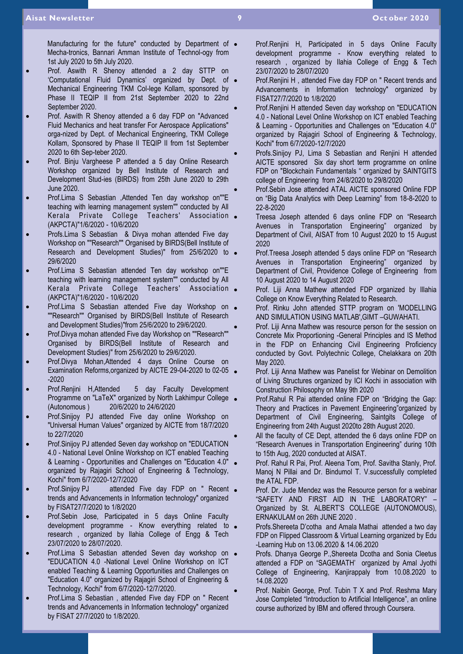Manufacturing for the future" conducted by Department of  $\bullet$ Mecha-tronics, Bannari Amman Institute of Technol-ogy from 1st July 2020 to 5th July 2020.

- Prof. Aswith R Shenoy attended a 2 day STTP on 'Computational Fluid Dynamics' organized by Dept. of Mechanical Engineering TKM Col-lege Kollam, sponsored by Phase II TEQIP II from 21st September 2020 to 22nd September 2020.
- Prof. Aswith R Shenoy attended a 6 day FDP on "Advanced Fluid Mechanics and heat transfer For Aerospace Applications" orga-nized by Dept. of Mechanical Engineering, TKM College Kollam, Sponsored by Phase II TEQIP II from 1st September 2020 to 6th Sep-teber 2020.
- Prof. Binju Vargheese P attended a 5 day Online Research Workshop organized by Bell Institute of Research and Development Stud-ies (BIRDS) from 25th June 2020 to 29th June 2020.
- Prof.Lima S Sebastian ,Attended Ten day workshop on""E teaching with learning management system"" conducted by All Kerala Private College Teachers' Association (AKPCTA)"1/6/2020 - 10/6/2020
- Profs.Lima S Sebastian & Divya mohan attended Five day Workshop on ""Research"" Organised by BIRDS(Bell Institute of Research and Development Studies)" from 25/6/2020 to . 29/6/2020
- Prof.Lima S Sebastian attended Ten day workshop on""E teaching with learning management system"" conducted by All Kerala Private College Teachers' Association (AKPCTA)"1/6/2020 - 10/6/2020
- Prof.Lima S Sebastian attended Five day Workshop on ""Research"" Organised by BIRDS(Bell Institute of Research and Development Studies)"from 25/6/2020 to 29/6/2020.
- Prof.Divya mohan attended Five day Workshop on ""Research"" Organised by BIRDS(Bell Institute of Research and Development Studies)" from 25/6/2020 to 29/6/2020.
- Prof.Divya Mohan,Attended 4 days Online Course on Examination Reforms, organized by AICTE 29-04-2020 to 02-05 . -2020
- Prof.Renjini H,Attended 5 day Faculty Development Programme on "LaTeX" organized by North Lakhimpur College . (Autonomous ) 20/6/2020 to 24/6/2020
- Prof.Sinijoy PJ attended Five day online Workshop on "Universal Human Values" organized by AICTE from 18/7/2020 to 22/7/2020
- Prof.Sinijoy PJ attended Seven day workshop on "EDUCATION 4.0 - National Level Online Workshop on ICT enabled Teaching & Learning - Opportunities and Challenges on "Education 4.0" organized by Rajagiri School of Engineering & Technology, Kochi" from 6/7/2020-12/7/2020
- Prof.Sinijoy PJ attended Five day FDP on " Recent . trends and Advancements in Information technology" organized by FISAT27/7/2020 to 1/8/2020
- Prof.Sebin Jose, Participated in 5 days Online Faculty development programme - Know everything related to research , organized by Ilahia College of Engg & Tech 23/07/2020 to 28/07/2020.
- Prof.Lima S Sebastian attended Seven day workshop on . "EDUCATION 4.0 -National Level Online Workshop on ICT enabled Teaching & Learning Opportunities and Challenges on "Education 4.0" organized by Rajagiri School of Engineering & Technology, Kochi" from 6/7/2020-12/7/2020.
- Prof.Lima S Sebastian , attended Five day FDP on " Recent trends and Advancements in Information technology" organized by FISAT 27/7/2020 to 1/8/2020.
- Prof.Renjini H, Participated in 5 days Online Faculty development programme - Know everything related to research , organized by Ilahia College of Engg & Tech 23/07/2020 to 28/07/2020
- Prof.Renjini H , attended Five day FDP on " Recent trends and Advancements in Information technology" organized by FISAT27/7/2020 to 1/8/2020
- Prof.Renjini H attended Seven day workshop on "EDUCATION 4.0 - National Level Online Workshop on ICT enabled Teaching & Learning - Opportunities and Challenges on "Education 4.0" organized by Rajagiri School of Engineering & Technology, Kochi" from 6/7/2020-12/7/2020
- Profs.Sinijoy PJ, Lima S Sebastian and Renjini H attended AICTE sponsored Six day short term programme on online FDP on "Blockchain Fundamentals " organized by SAINTGITS college of Engineering from 24/8/2020 to 29/8/2020
- Prof.Sebin Jose attended ATAL AICTE sponsored Online FDP on "Big Data Analytics with Deep Learning" from 18-8-2020 to 22-8-2020
- Treesa Joseph attended 6 days online FDP on "Research Avenues in Transportation Engineering" organized by Department of Civil, AISAT from 10 August 2020 to 15 August 2020
- Prof.Treesa Joseph attended 5 days online FDP on "Research Avenues in Transportation Engineering" organized by Department of Civil, Providence College of Engineering from 10 August 2020 to 14 August 2020
- Prof. Liji Anna Mathew attended FDP organized by Illahia College on Know Everything Related to Research.
- Prof. Rinku John attended STTP program on 'MODELLING AND SIMULATION USING MATLAB',GIMT –GUWAHATI.
- Prof. Liji Anna Mathew was resource person for the session on Concrete Mix Proportioning -General Principles and IS Method in the FDP on Enhancing Civil Engineering Proficiency conducted by Govt. Polytechnic College, Chelakkara on 20th May 2020.
- Prof. Liji Anna Mathew was Panelist for Webinar on Demolition of Living Structures organized by ICI Kochi in association with Construction Philosophy on May 9th 2020
- Prof.Rahul R Pai attended online FDP on "Bridging the Gap: Theory and Practices in Pavement Engineering"organized by Department of Civil Engineering, Saintgits College of Engineering from 24th August 2020to 28th August 2020.
- All the faculty of CE Dept, attended the 6 days online FDP on "Research Avenues in Transportation Engineering" during 10th to 15th Aug, 2020 conducted at AISAT.
- Prof. Rahul R Pai, Prof. Aleena Tom, Prof. Savitha Stanly, Prof. Manoj N Pillai and Dr. Bindumol T. V.successfully completed the ATAL FDP.
- Prof. Dr. Jude Mendez was the Resource person for a webinar "SAFETY AND FIRST AID IN THE LABORATORY" – Organized by St. ALBERT'S COLLEGE (AUTONOMOUS), ERNAKULAM on 26th JUNE 2020 .
- Profs.Shereeta D'cotha and Amala Mathai attended a two day FDP on Flipped Classroom & Virtual Learning organized by Edu -Learning Hub on 13.06.2020 & 14.06.2020
- Profs. Dhanya George P.,Shereeta Dcotha and Sonia Cleetus attended a FDP on "SAGEMATH' organized by Amal Jyothi College of Engineering, Kanjirappaly from 10.08.2020 to 14.08.2020
- Prof. Naibin George, Prof. Tubin T X and Prof. Reshma Mary Jose Completed "Introduction to Artificial Intelligence", an online course authorized by IBM and offered through Coursera.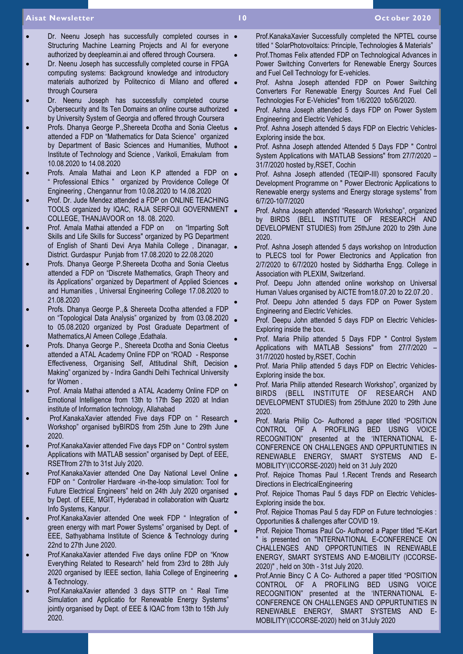#### **Aisat Newsletter 10 Oct ober 2020**

- Dr. Neenu Joseph has successfully completed courses in  $\bullet$ Structuring Machine Learning Projects and AI for everyone authorized by deeplearnin.ai and offered through Coursera.
- Dr. Neenu Joseph has successfully completed course in FPGA computing systems: Background knowledge and introductory materials authorized by Politecnico di Milano and offered through Coursera
- Dr. Neenu Joseph has successfully completed course Cybersecurity and Its Ten Domains an online course authorized . by University System of Georgia and offered through Coursera
- Profs. Dhanya George P.,Shereeta Dcotha and Sonia Cleetus attended a FDP on "Mathematics for Data Science" organized by Department of Basic Sciences and Humanities, Muthoot Institute of Technology and Science , Varikoli, Ernakulam from 10.08.2020 to 14.08.2020
- Profs. Amala Mathai and Leon K.P attended a FDP on . " Professional Ethics " organized by Providence College Of Engineering , Chengannur from 10.08.2020 to 14.08.2020
- Prof. Dr. Jude Mendez attended a FDP on ONLINE TEACHING TOOLS organized by IQAC, RAJA SERFOJI GOVERNMENT COLLEGE, THANJAVOOR on 18. 08. 2020.
- Prof. Amala Mathai attended a FDP on on "Imparting Soft" Skills and Life Skills for Success" organized by PG Department of English of Shanti Devi Arya Mahila College , Dinanagar, District. Gurdaspur Punjab from 17.08.2020 to 22.08.2020
- Profs. Dhanya George P.Shereeta Dcotha and Sonia Cleetus attended a FDP on "Discrete Mathematics, Graph Theory and its Applications" organized by Department of Applied Sciences . and Humanities , Universal Engineering College 17.08.2020 to 21.08.2020
- Profs. Dhanya George P.,& Shereeta Dcotha attended a FDP on "Topological Data Analysis" organized by from 03.08.2020 to 05.08.2020 organized by Post Graduate Department of Mathematics,Al Ameen College ,Edathala.
- Profs. Dhanya George P., Shereeta Dcotha and Sonia Cleetus attended a ATAL Academy Online FDP on "ROAD - Response Effectiveness, Organising Self, Attitudinal Shift, Decision Making" organized by - Indira Gandhi Delhi Technical University for Women .
- Prof. Amala Mathai attended a ATAL Academy Online FDP on Emotional Intelligence from 13th to 17th Sep 2020 at Indian institute of Information technology, Allahabad
- Prof.KanakaXavier attended Five days FDP on " Research Workshop" organised byBIRDS from 25th June to 29th June 2020.
- Prof.KanakaXavier attended Five days FDP on " Control system Applications with MATLAB session" organised by Dept. of EEE, RSETfrom 27th to 31st July 2020.
- Prof.KanakaXavier attended One Day National Level Online FDP on " Controller Hardware -in-the-loop simulation: Tool for Future Electrical Engineers" held on 24th July 2020 organised by Dept. of EEE, MGIT, Hyderabad in collaboration with Quartz Info Systems, Kanpur.
- Prof.KanakaXavier attended One week FDP " Integration of green energy with mart Power Systems" organised by Dept. of EEE, Sathyabhama Institute of Science & Technology during 22nd to 27th June 2020.
- Prof.KanakaXavier attended Five days online FDP on "Know Everything Related to Research" held from 23rd to 28th July 2020 organised by IEEE section, Ilahia College of Engineering & Technology.
- Prof.KanakaXavier attended 3 days STTP on " Real Time Simulation and Applicatio for Renewable Energy Systems" jointly organised by Dept. of EEE & IQAC from 13th to 15th July 2020.
- Prof.KanakaXavier Successfully completed the NPTEL course titled " SolarPhotovoltaics: Principle, Technologies & Materials"
- Prof.Thomas Felix attended FDP on Technological Advances in Power Switching Converters for Renewable Energy Sources and Fuel Cell Technology for E-vehicles.
- Prof. Ashna Joseph attended FDP on Power Switching Converters For Renewable Energy Sources And Fuel Cell Technologies For E-Vehicles" from 1/6/2020 to5/6/2020.
- Prof. Ashna Joseph attended 5 days FDP on Power System Engineering and Electric Vehicles.
- Prof. Ashna Joseph attended 5 days FDP on Electric Vehicles-Exploring inside the box.
- Prof. Ashna Joseph attended Attended 5 Days FDP " Control System Applications with MATLAB Sessions" from 27/7/2020 – 31/7/2020 hosted by,RSET, Cochin
- Prof. Ashna Joseph attended (TEQIP-III) sponsored Faculty Development Programme on " Power Electronic Applications to Renewable energy systems and Energy storage systems" from 6/7/20-10/7/2020
- Prof. Ashna Joseph attended "Research Workshop", organized by BIRDS (BELL INSTITUTE OF RESEARCH AND DEVELOPMENT STUDIES) from 25thJune 2020 to 29th June 2020.
- Prof. Ashna Joseph attended 5 days workshop on Introduction to PLECS tool for Power Electronics and Application fron 2/7/2020 to 6/7/2020 hosted by Siddhartha Engg. College in Association with PLEXIM, Switzerland.
- Prof. Deepu John attended online workshop on Universal Human Values organised by AICTE from18.07.20 to 22.07.20 .
- Prof. Deepu John attended 5 days FDP on Power System Engineering and Electric Vehicles.
- Prof. Deepu John attended 5 days FDP on Electric Vehicles-Exploring inside the box.
- Prof. Maria Philip attended 5 Days FDP " Control System Applications with MATLAB Sessions" from 27/7/2020 – 31/7/2020 hosted by,RSET, Cochin
- Prof. Maria Philip attended 5 days FDP on Electric Vehicles-Exploring inside the box.
- Prof. Maria Philip attended Research Workshop", organized by BIRDS (BELL INSTITUTE OF RESEARCH AND DEVELOPMENT STUDIES) from 25thJune 2020 to 29th June 2020.
- Prof. Maria Philip Co- Authored a paper titled "POSITION CONTROL OF A PROFILING BED USING VOICE RECOGNITION" presented at the 'INTERNATIONAL E-CONFERENCE ON CHALLENGES AND OPPURTUNITIES IN RENEWABLE ENERGY, SMART SYSTEMS AND E-MOBILITY'(ICCORSE-2020) held on 31 July 2020
- Prof. Rejoice Thomas Paul 1.Recent Trends and Research Directions in ElectricalEngineering
- Prof. Rejoice Thomas Paul 5 days FDP on Electric Vehicles-Exploring inside the box.
- Prof. Rejoice Thomas Paul 5 day FDP on Future technologies : Opportunities & challenges after COVID 19.
- Prof. Rejoice Thomas Paul Co- Authored a Paper titled "E-Kart is presented on "INTERNATIONAL E-CONFERENCE ON CHALLENGES AND OPPORTUNITIES IN RENEWABLE ENERGY, SMART SYSTEMS AND E-MOBILITY (ICCORSE-2020)" , held on 30th - 31st July 2020.
- Prof.Annie Bincy C A Co- Authored a paper titled "POSITION CONTROL OF A PROFILING BED USING VOICE RECOGNITION" presented at the 'INTERNATIONAL E-CONFERENCE ON CHALLENGES AND OPPURTUNITIES IN RENEWABLE ENERGY, SMART SYSTEMS AND E-MOBILITY'(ICCORSE-2020) held on 31July 2020